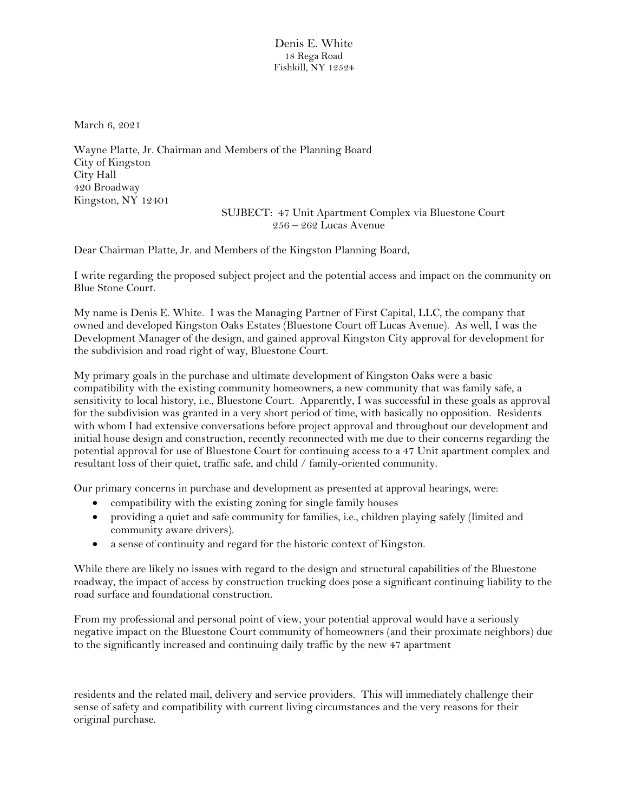Denis E. White 18 Rega Road Fishkill, NY 12524

March 6, 2021

Wayne Platte, Jr. Chairman and Members of the Planning Board City of Kingston City Hall 420 Broadway Kingston, NY 12401

SUJBECT: 47 Unit Apartment Complex via Bluestone Court 256 – 262 Lucas Avenue

Dear Chairman Platte, Jr. and Members of the Kingston Planning Board,

I write regarding the proposed subject project and the potential access and impact on the community on Blue Stone Court.

My name is Denis E. White. I was the Managing Partner of First Capital, LLC, the company that owned and developed Kingston Oaks Estates (Bluestone Court off Lucas Avenue). As well, I was the Development Manager of the design, and gained approval Kingston City approval for development for the subdivision and road right of way, Bluestone Court.

My primary goals in the purchase and ultimate development of Kingston Oaks were a basic compatibility with the existing community homeowners, a new community that was family safe, a sensitivity to local history, i.e., Bluestone Court. Apparently, I was successful in these goals as approval for the subdivision was granted in a very short period of time, with basically no opposition. Residents with whom I had extensive conversations before project approval and throughout our development and initial house design and construction, recently reconnected with me due to their concerns regarding the potential approval for use of Bluestone Court for continuing access to a 47 Unit apartment complex and resultant loss of their quiet, traffic safe, and child / family-oriented community.

Our primary concerns in purchase and development as presented at approval hearings, were:

- compatibility with the existing zoning for single family houses
- providing a quiet and safe community for families, i.e., children playing safely (limited and community aware drivers).
- a sense of continuity and regard for the historic context of Kingston.

While there are likely no issues with regard to the design and structural capabilities of the Bluestone roadway, the impact of access by construction trucking does pose a significant continuing liability to the road surface and foundational construction.

From my professional and personal point of view, your potential approval would have a seriously negative impact on the Bluestone Court community of homeowners (and their proximate neighbors) due to the significantly increased and continuing daily traffic by the new 47 apartment

residents and the related mail, delivery and service providers. This will immediately challenge their sense of safety and compatibility with current living circumstances and the very reasons for their original purchase.